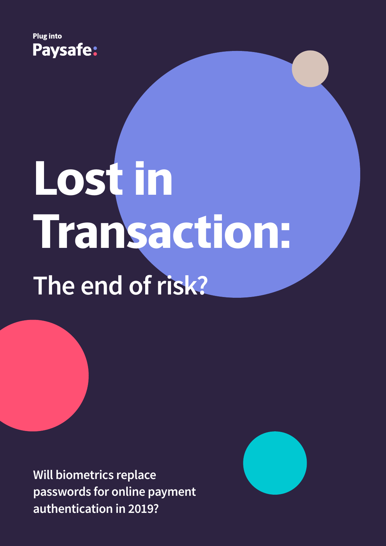

# **Lost in Transaction: The end of risk?**

**Will biometrics replace passwords for online payment authentication in 2019?**

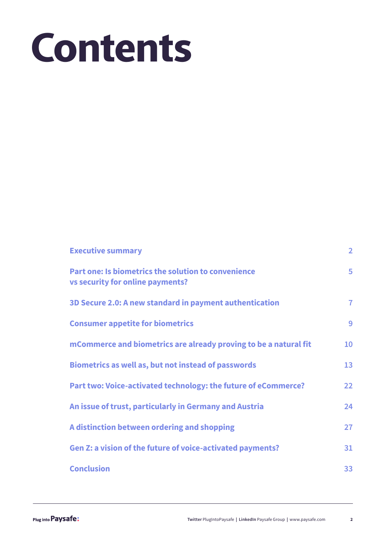## **Contents**

| <b>Executive summary</b>                                                                                  | $\overline{2}$ |
|-----------------------------------------------------------------------------------------------------------|----------------|
| Part one: Is biometrics the solution to convenience<br><b>vs security for online payments?</b>            | 5              |
| 3D Secure 2.0: A new standard in payment authentication                                                   | $\overline{7}$ |
| <b>Consumer appetite for biometrics</b>                                                                   | 9              |
| mCommerce and biometrics are already proving to be a natural fit                                          | 10             |
| <b>Biometrics as well as, but not instead of passwords</b>                                                | 13             |
| Part two: Voice-activated technology: the future of eCommerce?                                            | 22             |
| An issue of trust, particularly in Germany and Austria                                                    | 24             |
| A distinction between ordering and shopping<br>Gen Z: a vision of the future of voice-activated payments? | 27<br>31       |
| <b>Conclusion</b>                                                                                         | 33             |
|                                                                                                           |                |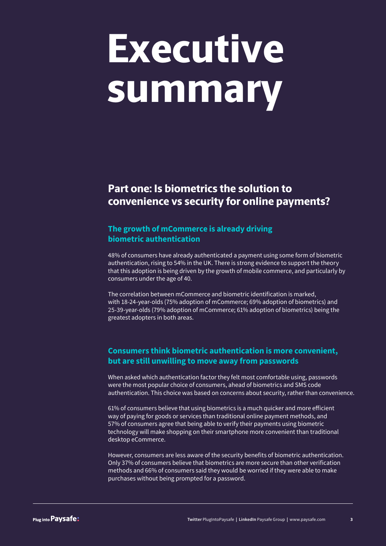### **Executive summary**

### **Part one: Is biometrics the solution to convenience vs security for online payments?**

#### **The growth of mCommerce is already driving biometric authentication**

48% of consumers have already authenticated a payment using some form of biometric authentication, rising to 54% in the UK. There is strong evidence to support the theory that this adoption is being driven by the growth of mobile commerce, and particularly by consumers under the age of 40.

The correlation between mCommerce and biometric identification is marked, with 18-24-year-olds (75% adoption of mCommerce; 69% adoption of biometrics) and 25-39-year-olds (79% adoption of mCommerce; 61% adoption of biometrics) being the greatest adopters in both areas.

#### **Consumers think biometric authentication is more convenient, but are still unwilling to move away from passwords**

When asked which authentication factor they felt most comfortable using, passwords were the most popular choice of consumers, ahead of biometrics and SMS code authentication. This choice was based on concerns about security, rather than convenience.

61% of consumers believe that using biometrics is a much quicker and more efficient way of paying for goods or services than traditional online payment methods, and 57% of consumers agree that being able to verify their payments using biometric technology will make shopping on their smartphone more convenient than traditional desktop eCommerce.

However, consumers are less aware of the security benefits of biometric authentication. Only 37% of consumers believe that biometrics are more secure than other verification methods and 66% of consumers said they would be worried if they were able to make purchases without being prompted for a password.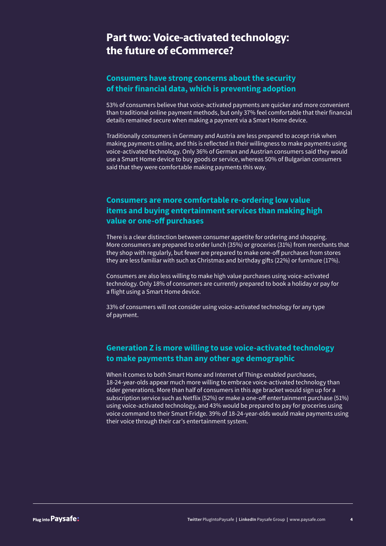### **Part two: Voice-activated technology: the future of eCommerce?**

#### **Consumers have strong concerns about the security of their financial data, which is preventing adoption**

53% of consumers believe that voice-activated payments are quicker and more convenient than traditional online payment methods, but only 37% feel comfortable that their financial details remained secure when making a payment via a Smart Home device.

Traditionally consumers in Germany and Austria are less prepared to accept risk when making payments online, and this is reflected in their willingness to make payments using voice-activated technology. Only 36% of German and Austrian consumers said they would use a Smart Home device to buy goods or service, whereas 50% of Bulgarian consumers said that they were comfortable making payments this way.

#### **Consumers are more comfortable re-ordering low value items and buying entertainment services than making high value or one-off purchases**

There is a clear distinction between consumer appetite for ordering and shopping. More consumers are prepared to order lunch (35%) or groceries (31%) from merchants that they shop with regularly, but fewer are prepared to make one-off purchases from stores they are less familiar with such as Christmas and birthday gifts (22%) or furniture (17%).

Consumers are also less willing to make high value purchases using voice-activated technology. Only 18% of consumers are currently prepared to book a holiday or pay for a flight using a Smart Home device.

33% of consumers will not consider using voice-activated technology for any type of payment.

#### **Generation Z is more willing to use voice-activated technology to make payments than any other age demographic**

When it comes to both Smart Home and Internet of Things enabled purchases, 18-24-year-olds appear much more willing to embrace voice-activated technology than older generations. More than half of consumers in this age bracket would sign up for a subscription service such as Netflix (52%) or make a one-off entertainment purchase (51%) using voice-activated technology, and 43% would be prepared to pay for groceries using voice command to their Smart Fridge. 39% of 18-24-year-olds would make payments using their voice through their car's entertainment system.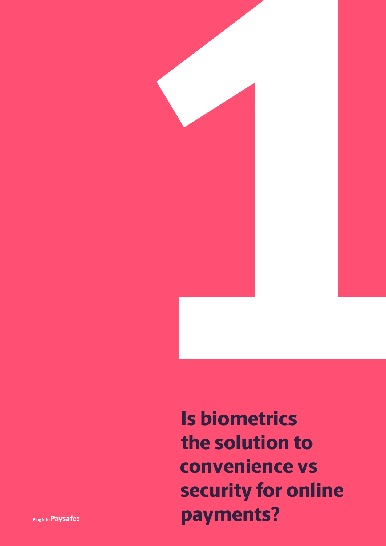

**Twitter Payments? Is biometrics the solution to convenience vs security for online**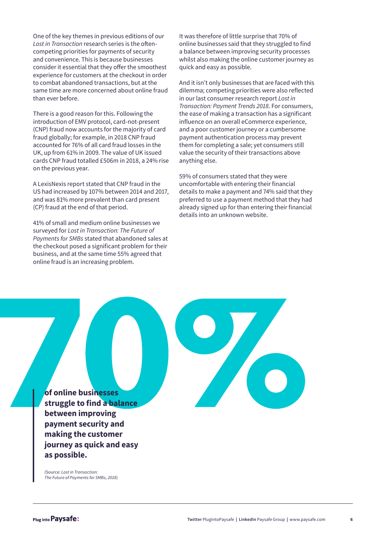One of the key themes in previous editions of our *Lost in Transaction* research series is the oftencompeting priorities for payments of security and convenience. This is because businesses consider it essential that they offer the smoothest experience for customers at the checkout in order to combat abandoned transactions, but at the same time are more concerned about online fraud than ever before.

There is a good reason for this. Following the introduction of EMV protocol, card-not-present (CNP) fraud now accounts for the majority of card fraud globally; for example, in 2018 CNP fraud accounted for 76% of all card fraud losses in the UK, up from 61% in 2009. The value of UK issued cards CNP fraud totalled £506m in 2018, a 24% rise on the previous year.

A LexisNexis report stated that CNP fraud in the US had increased by 107% between 2014 and 2017, and was 81% more prevalent than card present (CP) fraud at the end of that period.

41% of small and medium online businesses we surveyed for *Lost in Transaction: The Future of Payments for SMBs* stated that abandoned sales at the checkout posed a significant problem for their business, and at the same time 55% agreed that online fraud is an increasing problem.

It was therefore of little surprise that 70% of online businesses said that they struggled to find a balance between improving security processes whilst also making the online customer journey as quick and easy as possible.

And it isn't only businesses that are faced with this dilemma; competing priorities were also reflected in our last consumer research report *Lost in Transaction: Payment Trends 2018*. For consumers, the ease of making a transaction has a significant influence on an overall eCommerce experience, and a poor customer journey or a cumbersome payment authentication process may prevent them for completing a sale; yet consumers still value the security of their transactions above anything else.

59% of consumers stated that they were uncomfortable with entering their financial details to make a payment and 74% said that they preferred to use a payment method that they had already signed up for than entering their financial details into an unknown website.

**of online businesses struggle to find a balance between improving payment security and making the customer journey as quick and easy as possible.**

(Source: *Lost in Transaction: The Future of Payments for SMBs, 2018*)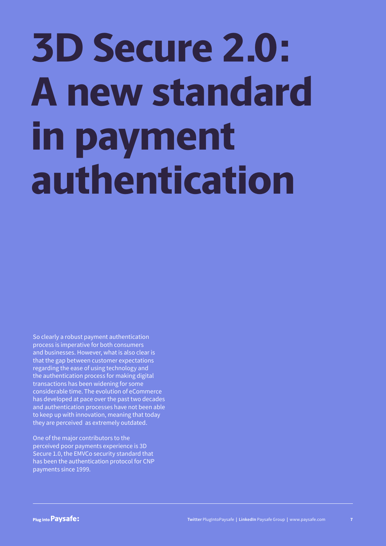# **3D Secure 2.0: A new standard in payment authentication**

So clearly a robust payment authentication process is imperative for both consumers and businesses. However, what is also clear is that the gap between customer expectations regarding the ease of using technology and the authentication process for making digital transactions has been widening for some considerable time. The evolution of eCommerce has developed at pace over the past two decades and authentication processes have not been able to keep up with innovation, meaning that today they are perceived as extremely outdated.

One of the major contributors to the perceived poor payments experience is 3D Secure 1.0, the EMVCo security standard that has been the authentication protocol for CNP payments since 1999.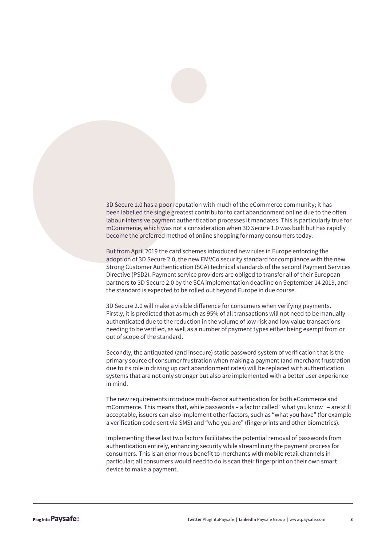3D Secure 1.0 has a poor reputation with much of the eCommerce community; it has been labelled the single greatest contributor to cart abandonment online due to the often labour-intensive payment authentication processes it mandates. This is particularly true for mCommerce, which was not a consideration when 3D Secure 1.0 was built but has rapidly become the preferred method of online shopping for many consumers today.

But from April 2019 the card schemes introduced new rules in Europe enforcing the adoption of 3D Secure 2.0, the new EMVCo security standard for compliance with the new Strong Customer Authentication (SCA) technical standards of the second Payment Services Directive (PSD2). Payment service providers are obliged to transfer all of their European partners to 3D Secure 2.0 by the SCA implementation deadline on September 14 2019, and the standard is expected to be rolled out beyond Europe in due course.

3D Secure 2.0 will make a visible difference for consumers when verifying payments. Firstly, it is predicted that as much as 95% of all transactions will not need to be manually authenticated due to the reduction in the volume of low risk and low value transactions needing to be verified, as well as a number of payment types either being exempt from or out of scope of the standard.

Secondly, the antiquated (and insecure) static password system of verification that is the primary source of consumer frustration when making a payment (and merchant frustration due to its role in driving up cart abandonment rates) will be replaced with authentication systems that are not only stronger but also are implemented with a better user experience in mind.

The new requirements introduce multi-factor authentication for both eCommerce and mCommerce. This means that, while passwords – a factor called "what you know" – are still acceptable, issuers can also implement other factors, such as "what you have" (for example a verification code sent via SMS) and "who you are" (fingerprints and other biometrics).

Implementing these last two factors facilitates the potential removal of passwords from authentication entirely, enhancing security while streamlining the payment process for consumers. This is an enormous benefit to merchants with mobile retail channels in particular; all consumers would need to do is scan their fingerprint on their own smart device to make a payment.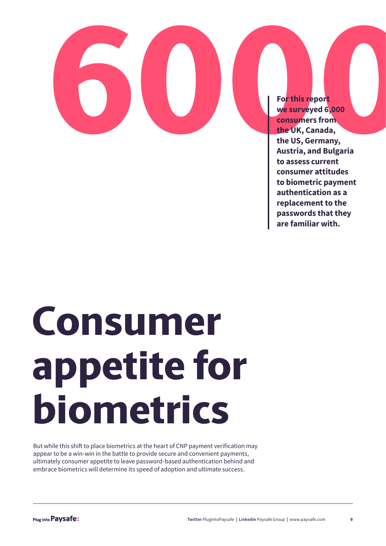**For this report we surveyed 6,000 consumers from the UK, Canada, the US, Germany, Austria, and Bulgaria to assess current consumer attitudes to biometric payment authentication as a replacement to the passwords that they are familiar with.**

## **Consumer appetite for biometrics**

But while this shift to place biometrics at the heart of CNP payment verification may appear to be a win-win in the battle to provide secure and convenient payments, ultimately consumer appetite to leave password-based authentication behind and embrace biometrics will determine its speed of adoption and ultimate success.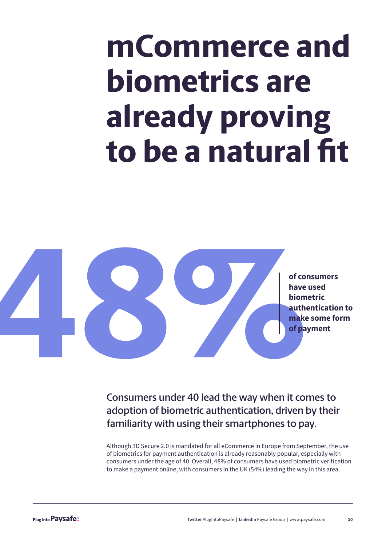### **mCommerce and biometrics are already proving to be a natural fit**



**Consumers under 40 lead the way when it comes to adoption of biometric authentication, driven by their familiarity with using their smartphones to pay.**

Although 3D Secure 2.0 is mandated for all eCommerce in Europe from September, the use of biometrics for payment authentication is already reasonably popular, especially with consumers under the age of 40. Overall, 48% of consumers have used biometric verification to make a payment online, with consumers in the UK (54%) leading the way in this area.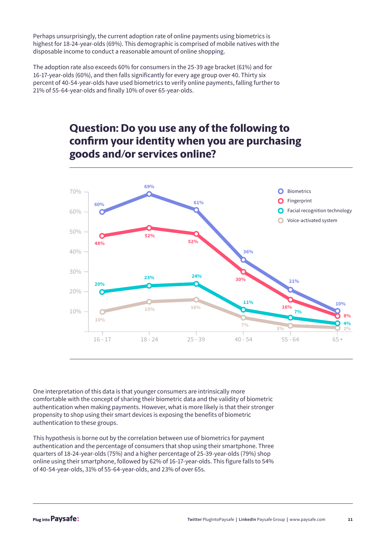Perhaps unsurprisingly, the current adoption rate of online payments using biometrics is highest for 18-24-year-olds (69%). This demographic is comprised of mobile natives with the disposable income to conduct a reasonable amount of online shopping.

The adoption rate also exceeds 60% for consumers in the 25-39 age bracket (61%) and for 16-17-year-olds (60%), and then falls significantly for every age group over 40. Thirty six percent of 40-54-year-olds have used biometrics to verify online payments, falling further to 21% of 55-64-year-olds and finally 10% of over 65-year-olds.

### **Question: Do you use any of the following to confirm your identity when you are purchasing goods and/or services online?**



One interpretation of this data is that younger consumers are intrinsically more comfortable with the concept of sharing their biometric data and the validity of biometric authentication when making payments. However, what is more likely is that their stronger propensity to shop using their smart devices is exposing the benefits of biometric authentication to these groups.

This hypothesis is borne out by the correlation between use of biometrics for payment authentication and the percentage of consumers that shop using their smartphone. Three quarters of 18-24-year-olds (75%) and a higher percentage of 25-39-year-olds (79%) shop online using their smartphone, followed by 62% of 16-17-year-olds. This figure falls to 54% of 40-54-year-olds, 31% of 55-64-year-olds, and 23% of over 65s.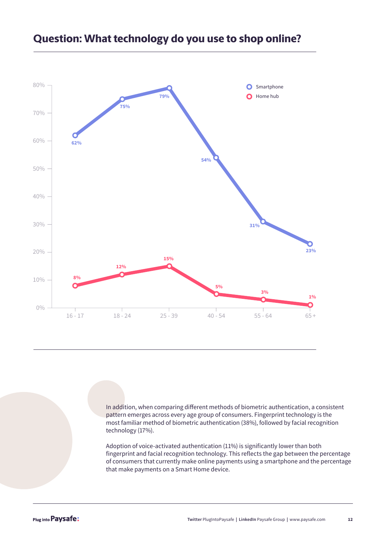

#### **Question: What technology do you use to shop online?**

In addition, when comparing different methods of biometric authentication, a consistent pattern emerges across every age group of consumers. Fingerprint technology is the most familiar method of biometric authentication (38%), followed by facial recognition technology (17%).

Adoption of voice-activated authentication (11%) is significantly lower than both fingerprint and facial recognition technology. This reflects the gap between the percentage of consumers that currently make online payments using a smartphone and the percentage that make payments on a Smart Home device.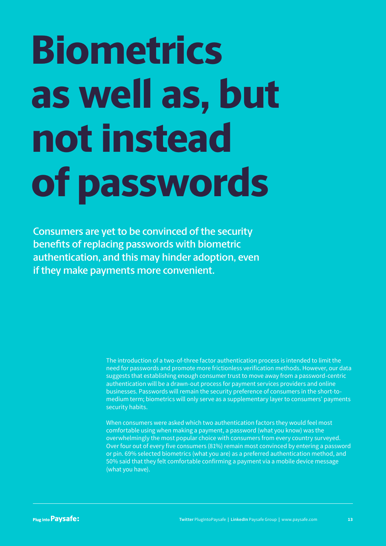# **Biometrics as well as, but not instead of passwords**

**Consumers are yet to be convinced of the security benefits of replacing passwords with biometric authentication, and this may hinder adoption, even if they make payments more convenient.**

> The introduction of a two-of-three factor authentication process is intended to limit the need for passwords and promote more frictionless verification methods. However, our data suggests that establishing enough consumer trust to move away from a password-centric authentication will be a drawn-out process for payment services providers and online businesses. Passwords will remain the security preference of consumers in the short-tomedium term; biometrics will only serve as a supplementary layer to consumers' payments security habits.

> When consumers were asked which two authentication factors they would feel most comfortable using when making a payment, a password (what you know) was the overwhelmingly the most popular choice with consumers from every country surveyed. Over four out of every five consumers (81%) remain most convinced by entering a password or pin. 69% selected biometrics (what you are) as a preferred authentication method, and 50% said that they felt comfortable confirming a payment via a mobile device message (what you have).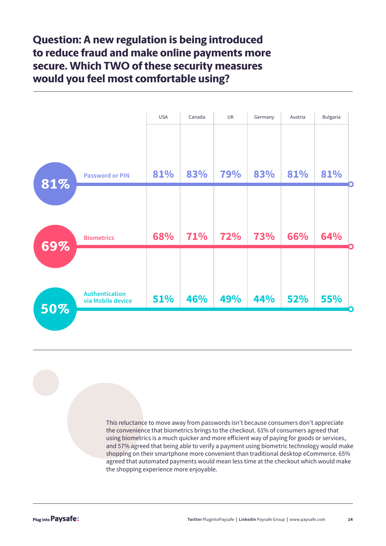**Question: A new regulation is being introduced to reduce fraud and make online payments more secure. Which TWO of these security measures would you feel most comfortable using?**



This reluctance to move away from passwords isn't because consumers don't appreciate the convenience that biometrics brings to the checkout. 61% of consumers agreed that using biometrics is a much quicker and more efficient way of paying for goods or services, and 57% agreed that being able to verify a payment using biometric technology would make shopping on their smartphone more convenient than traditional desktop eCommerce. 65% agreed that automated payments would mean less time at the checkout which would make the shopping experience more enjoyable.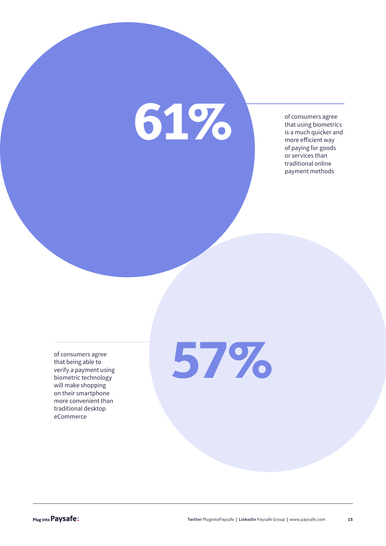# **61%**

of consumers agree that using biometrics is a much quicker and more efficient way of paying for goods or services than traditional online payment methods

of consumers agree that being able to verify a payment using biometric technology will make shopping on their smartphone more convenient than traditional desktop eCommerce

**57%**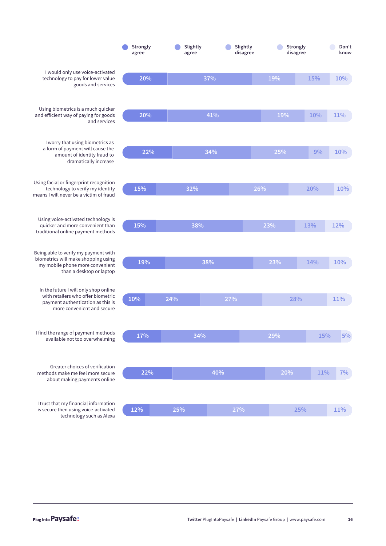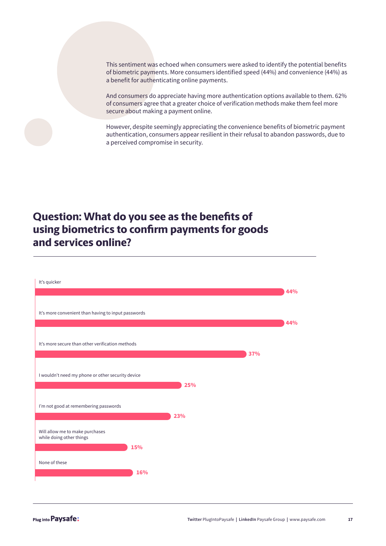This sentiment was echoed when consumers were asked to identify the potential benefits of biometric payments. More consumers identified speed (44%) and convenience (44%) as a benefit for authenticating online payments.

And consumers do appreciate having more authentication options available to them. 62% of consumers agree that a greater choice of verification methods make them feel more secure about making a payment online.

However, despite seemingly appreciating the convenience benefits of biometric payment authentication, consumers appear resilient in their refusal to abandon passwords, due to a perceived compromise in security.

### **Question: What do you see as the benefits of using biometrics to confirm payments for goods and services online?**

| It's quicker                                                       |     | 44% |
|--------------------------------------------------------------------|-----|-----|
| It's more convenient than having to input passwords                |     | 44% |
| It's more secure than other verification methods                   |     | 37% |
| I wouldn't need my phone or other security device                  | 25% |     |
| I'm not good at remembering passwords                              | 23% |     |
| Will allow me to make purchases<br>while doing other things<br>15% |     |     |
| None of these                                                      | 16% |     |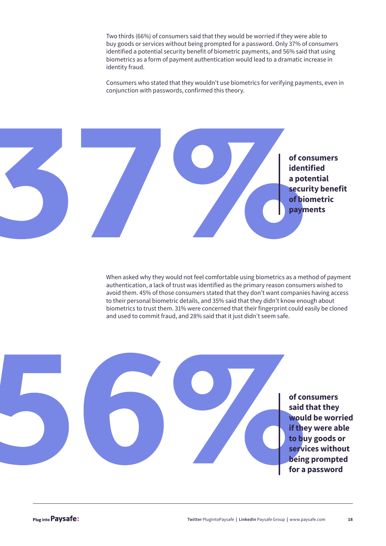Two thirds (66%) of consumers said that they would be worried if they were able to buy goods or services without being prompted for a password. Only 37% of consumers identified a potential security benefit of biometric payments, and 56% said that using biometrics as a form of payment authentication would lead to a dramatic increase in identity fraud.

Consumers who stated that they wouldn't use biometrics for verifying payments, even in conjunction with passwords, confirmed this theory.



When asked why they would not feel comfortable using biometrics as a method of payment authentication, a lack of trust was identified as the primary reason consumers wished to avoid them. 45% of those consumers stated that they don't want companies having access to their personal biometric details, and 35% said that they didn't know enough about biometrics to trust them. 31% were concerned that their fingerprint could easily be cloned and used to commit fraud, and 28% said that it just didn't seem safe.

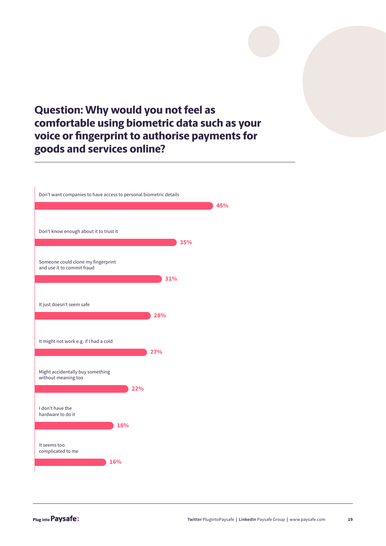### **Question: Why would you not feel as comfortable using biometric data such as your voice or fingerprint to authorise payments for goods and services online?**

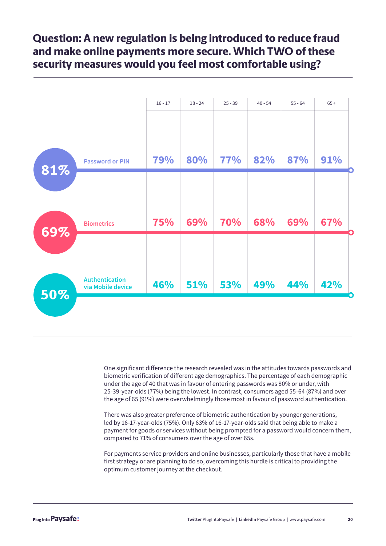### **Question: A new regulation is being introduced to reduce fraud and make online payments more secure. Which TWO of these security measures would you feel most comfortable using?**



One significant difference the research revealed was in the attitudes towards passwords and biometric verification of different age demographics. The percentage of each demographic under the age of 40 that was in favour of entering passwords was 80% or under, with 25-39-year-olds (77%) being the lowest. In contrast, consumers aged 55-64 (87%) and over the age of 65 (91%) were overwhelmingly those most in favour of password authentication.

There was also greater preference of biometric authentication by younger generations, led by 16-17-year-olds (75%). Only 63% of 16-17-year-olds said that being able to make a payment for goods or services without being prompted for a password would concern them, compared to 71% of consumers over the age of over 65s.

For payments service providers and online businesses, particularly those that have a mobile first strategy or are planning to do so, overcoming this hurdle is critical to providing the optimum customer journey at the checkout.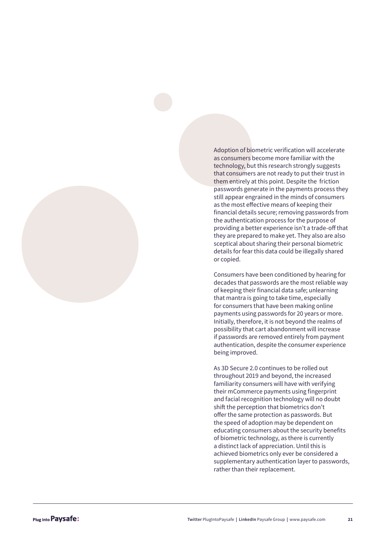Adoption of biometric verification will accelerate as consumers become more familiar with the technology, but this research strongly suggests that consumers are not ready to put their trust in them entirely at this point. Despite the friction passwords generate in the payments process they still appear engrained in the minds of consumers as the most effective means of keeping their financial details secure; removing passwords from the authentication process for the purpose of providing a better experience isn't a trade-off that they are prepared to make yet. They also are also sceptical about sharing their personal biometric details for fear this data could be illegally shared or copied.

Consumers have been conditioned by hearing for decades that passwords are the most reliable way of keeping their financial data safe; unlearning that mantra is going to take time, especially for consumers that have been making online payments using passwords for 20 years or more. Initially, therefore, it is not beyond the realms of possibility that cart abandonment will increase if passwords are removed entirely from payment authentication, despite the consumer experience being improved.

As 3D Secure 2.0 continues to be rolled out throughout 2019 and beyond, the increased familiarity consumers will have with verifying their mCommerce payments using fingerprint and facial recognition technology will no doubt shift the perception that biometrics don't offer the same protection as passwords. But the speed of adoption may be dependent on educating consumers about the security benefits of biometric technology, as there is currently a distinct lack of appreciation. Until this is achieved biometrics only ever be considered a supplementary authentication layer to passwords, rather than their replacement.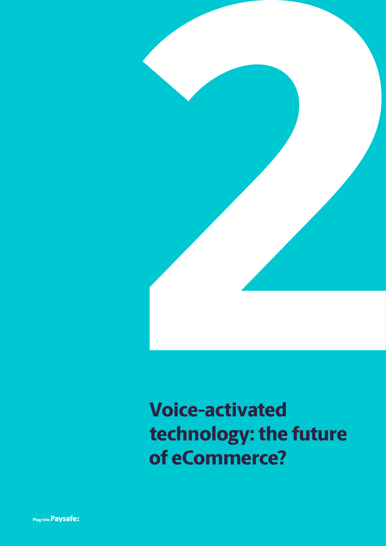

### **Voice-activated technology: the future of eCommerce?**

Plug into Paysafe: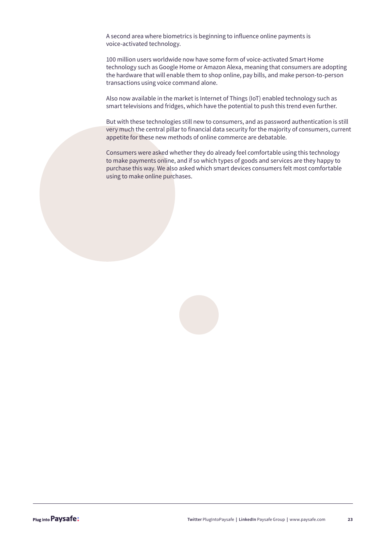A second area where biometrics is beginning to influence online payments is voice-activated technology.

100 million users worldwide now have some form of voice-activated Smart Home technology such as Google Home or Amazon Alexa, meaning that consumers are adopting the hardware that will enable them to shop online, pay bills, and make person-to-person transactions using voice command alone.

Also now available in the market is Internet of Things (IoT) enabled technology such as smart televisions and fridges, which have the potential to push this trend even further.

But with these technologies still new to consumers, and as password authentication is still very much the central pillar to financial data security for the majority of consumers, current appetite for these new methods of online commerce are debatable.

Consumers were asked whether they do already feel comfortable using this technology to make payments online, and if so which types of goods and services are they happy to purchase this way. We also asked which smart devices consumers felt most comfortable using to make online purchases.

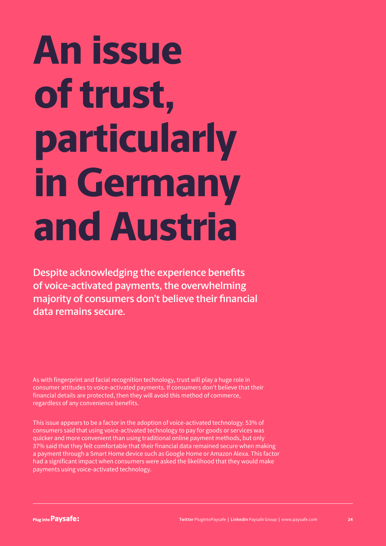# **An issue of trust, particularly in Germany and Austria**

**Despite acknowledging the experience benefits of voice-activated payments, the overwhelming majority of consumers don't believe their financial data remains secure.** 

As with fingerprint and facial recognition technology, trust will play a huge role in consumer attitudes to voice-activated payments. If consumers don't believe that their financial details are protected, then they will avoid this method of commerce, regardless of any convenience benefits.

This issue appears to be a factor in the adoption of voice-activated technology. 53% of consumers said that using voice-activated technology to pay for goods or services was quicker and more convenient than using traditional online payment methods, but only 37% said that they felt comfortable that their financial data remained secure when making a payment through a Smart Home device such as Google Home or Amazon Alexa. This factor had a significant impact when consumers were asked the likelihood that they would make payments using voice-activated technology.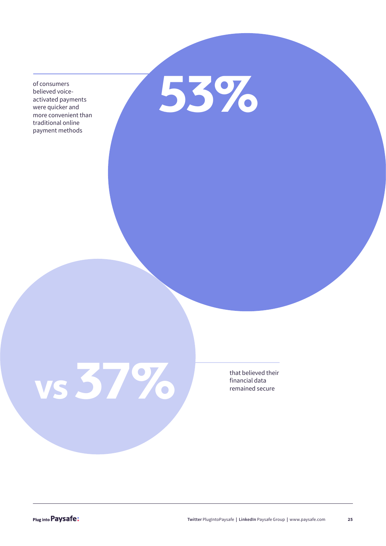believed voiceactivated payments were quicker and more convenient than traditional online payment methods

of consumers<br>believed voice-<br>activated payments<br>were quicker and

**f** that believed the financial data remained secure

that believed their<br>financial data

Plug into Paysafe: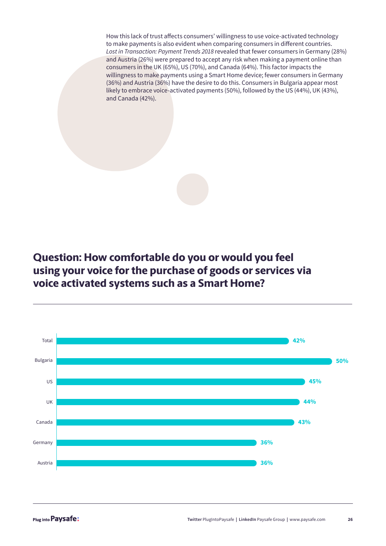How this lack of trust affects consumers' willingness to use voice-activated technology to make payments is also evident when comparing consumers in different countries. *Lost in Transaction: Payment Trends 2018* revealed that fewer consumers in Germany (28%) and Austria (26%) were prepared to accept any risk when making a payment online than consumers in the UK (65%), US (70%), and Canada (64%). This factor impacts the willingness to make payments using a Smart Home device; fewer consumers in Germany (36%) and Austria (36%) have the desire to do this. Consumers in Bulgaria appear most likely to embrace voice-activated payments (50%), followed by the US (44%), UK (43%), and Canada (42%).

**Question: How comfortable do you or would you feel using your voice for the purchase of goods or services via voice activated systems such as a Smart Home?**

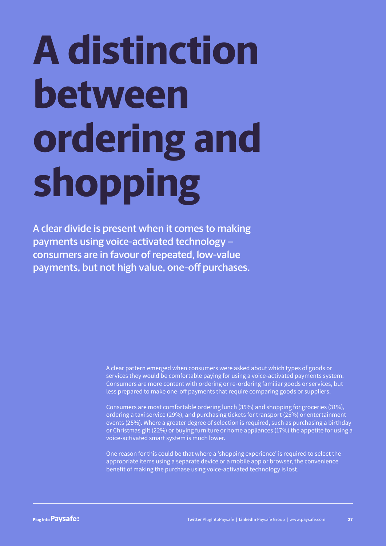# **A distinction between ordering and shopping**

**A clear divide is present when it comes to making payments using voice-activated technology – consumers are in favour of repeated, low-value payments, but not high value, one-off purchases.**

> A clear pattern emerged when consumers were asked about which types of goods or services they would be comfortable paying for using a voice-activated payments system. Consumers are more content with ordering or re-ordering familiar goods or services, but less prepared to make one-off payments that require comparing goods or suppliers.

Consumers are most comfortable ordering lunch (35%) and shopping for groceries (31%), ordering a taxi service (29%), and purchasing tickets for transport (25%) or entertainment events (25%). Where a greater degree of selection is required, such as purchasing a birthday or Christmas gift (22%) or buying furniture or home appliances (17%) the appetite for using a voice-activated smart system is much lower.

One reason for this could be that where a 'shopping experience' is required to select the appropriate items using a separate device or a mobile app or browser, the convenience benefit of making the purchase using voice-activated technology is lost.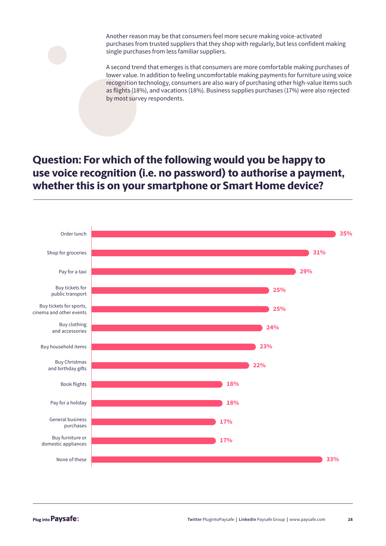Another reason may be that consumers feel more secure making voice-activated purchases from trusted suppliers that they shop with regularly, but less confident making single purchases from less familiar suppliers.

A second trend that emerges is that consumers are more comfortable making purchases of lower value. In addition to feeling uncomfortable making payments for furniture using voice recognition technology, consumers are also wary of purchasing other high-value items such as flights (18%), and vacations (18%). Business supplies purchases (17%) were also rejected by most survey respondents.

### **Question: For which of the following would you be happy to use voice recognition (i.e. no password) to authorise a payment, whether this is on your smartphone or Smart Home device?**

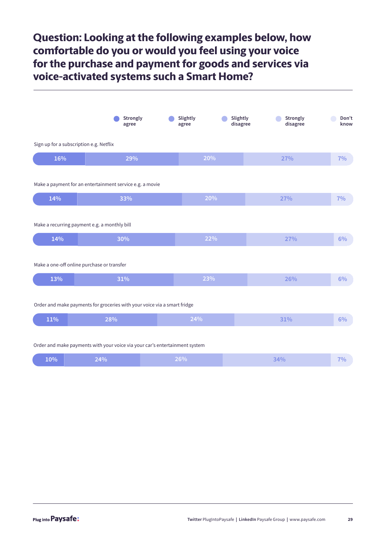### **Question: Looking at the following examples below, how comfortable do you or would you feel using your voice for the purchase and payment for goods and services via voice-activated systems such a Smart Home?**

|                                                                          | Strongly<br>agree                                        | Slightly<br>agree | Slightly<br>disagree | Strongly<br>disagree | Don't<br>know |  |
|--------------------------------------------------------------------------|----------------------------------------------------------|-------------------|----------------------|----------------------|---------------|--|
| Sign up for a subscription e.g. Netflix                                  |                                                          |                   |                      |                      |               |  |
| 16%                                                                      | 29%                                                      |                   | 20%                  | 27%                  | 7%            |  |
|                                                                          | Make a payment for an entertainment service e.g. a movie |                   |                      |                      |               |  |
| 14%                                                                      | 33%                                                      |                   | 20%                  | 27%                  | 7%            |  |
|                                                                          | Make a recurring payment e.g. a monthly bill             |                   |                      |                      |               |  |
| 14%                                                                      | 30%                                                      |                   | 22%                  | 27%                  | 6%            |  |
|                                                                          | Make a one-off online purchase or transfer               |                   |                      |                      |               |  |
| 13%                                                                      | 31%                                                      |                   | 23%                  | 26%                  | 6%            |  |
| Order and make payments for groceries with your voice via a smart fridge |                                                          |                   |                      |                      |               |  |
| 11%                                                                      | 28%                                                      | 24%               |                      | 31%                  | 6%            |  |
|                                                                          |                                                          |                   |                      |                      |               |  |

#### Order and make payments with your voice via your car's entertainment system

| $10\%$ | $24\%$ / | 26% | $\Delta$ <sub>0</sub><br>47 V V | 70. |
|--------|----------|-----|---------------------------------|-----|
|--------|----------|-----|---------------------------------|-----|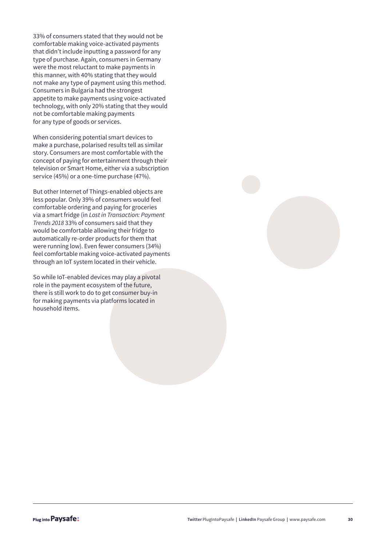33% of consumers stated that they would not be comfortable making voice-activated payments that didn't include inputting a password for any type of purchase. Again, consumers in Germany were the most reluctant to make payments in this manner, with 40% stating that they would not make any type of payment using this method. Consumers in Bulgaria had the strongest appetite to make payments using voice-activated technology, with only 20% stating that they would not be comfortable making payments for any type of goods or services.

When considering potential smart devices to make a purchase, polarised results tell as similar story. Consumers are most comfortable with the concept of paying for entertainment through their television or Smart Home, either via a subscription service (45%) or a one-time purchase (47%).

But other Internet of Things-enabled objects are less popular. Only 39% of consumers would feel comfortable ordering and paying for groceries via a smart fridge (in *Lost in Transaction: Payment Trends 2018* 33% of consumers said that they would be comfortable allowing their fridge to automatically re-order products for them that were running low). Even fewer consumers (34%) feel comfortable making voice-activated payments through an IoT system located in their vehicle.

So while IoT-enabled devices may play a pivotal role in the payment ecosystem of the future, there is still work to do to get consumer buy-in for making payments via platforms located in household items.

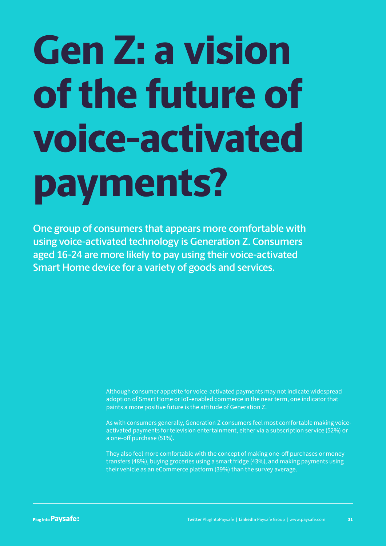# **Gen Z: a vision of the future of voice-activated payments?**

**One group of consumers that appears more comfortable with using voice-activated technology is Generation Z. Consumers aged 16-24 are more likely to pay using their voice-activated Smart Home device for a variety of goods and services.** 

> Although consumer appetite for voice-activated payments may not indicate widespread adoption of Smart Home or IoT-enabled commerce in the near term, one indicator that paints a more positive future is the attitude of Generation Z.

As with consumers generally, Generation Z consumers feel most comfortable making voiceactivated payments for television entertainment, either via a subscription service (52%) or a one-off purchase (51%).

They also feel more comfortable with the concept of making one-off purchases or money transfers (48%), buying groceries using a smart fridge (43%), and making payments using their vehicle as an eCommerce platform (39%) than the survey average.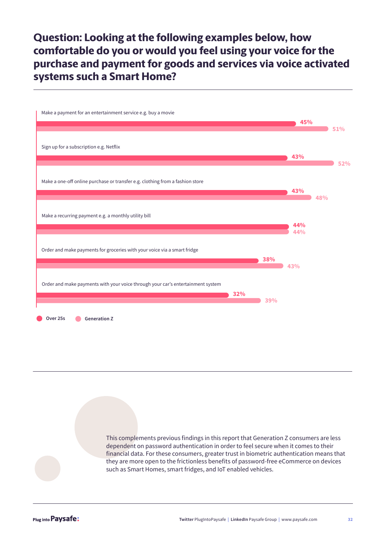**Question: Looking at the following examples below, how comfortable do you or would you feel using your voice for the purchase and payment for goods and services via voice activated systems such a Smart Home?**

| Make a payment for an entertainment service e.g. buy a movie                           |     | 45%        |     | 51% |
|----------------------------------------------------------------------------------------|-----|------------|-----|-----|
| Sign up for a subscription e.g. Netflix                                                |     | 43%        |     | 52% |
| Make a one-off online purchase or transfer e.g. clothing from a fashion store          |     | 43%        | 48% |     |
| Make a recurring payment e.g. a monthly utility bill                                   |     | 44%<br>44% |     |     |
| Order and make payments for groceries with your voice via a smart fridge               | 38% |            |     |     |
| Order and make payments with your voice through your car's entertainment system<br>32% |     | 43%        |     |     |
| Over 25s<br><b>Generation Z</b>                                                        | 39% |            |     |     |

This complements previous findings in this report that Generation Z consumers are less dependent on password authentication in order to feel secure when it comes to their financial data. For these consumers, greater trust in biometric authentication means that they are more open to the frictionless benefits of password-free eCommerce on devices such as Smart Homes, smart fridges, and IoT enabled vehicles.

Plug into Paysafe: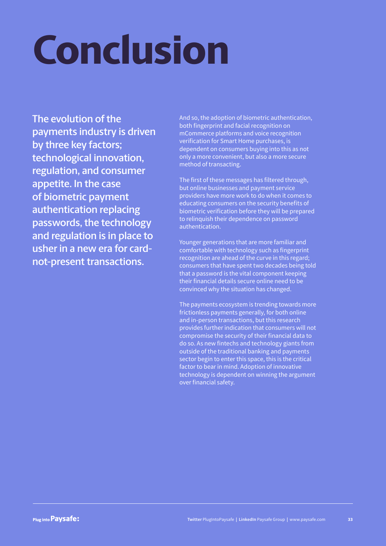# **Conclusion**

**The evolution of the payments industry is driven by three key factors; technological innovation, regulation, and consumer appetite. In the case of biometric payment authentication replacing passwords, the technology and regulation is in place to usher in a new era for cardnot-present transactions.** 

And so, the adoption of biometric authentication, both fingerprint and facial recognition on mCommerce platforms and voice recognition verification for Smart Home purchases, is dependent on consumers buying into this as not only a more convenient, but also a more secure method of transacting.

The first of these messages has filtered through, but online businesses and payment service providers have more work to do when it comes to educating consumers on the security benefits of biometric verification before they will be prepared to relinquish their dependence on password authentication.

Younger generations that are more familiar and comfortable with technology such as fingerprint recognition are ahead of the curve in this regard; consumers that have spent two decades being told that a password is the vital component keeping their financial details secure online need to be convinced why the situation has changed.

The payments ecosystem is trending towards more frictionless payments generally, for both online and in-person transactions, but this research provides further indication that consumers will not compromise the security of their financial data to do so. As new fintechs and technology giants from outside of the traditional banking and payments sector begin to enter this space, this is the critical factor to bear in mind. Adoption of innovative technology is dependent on winning the argument over financial safety.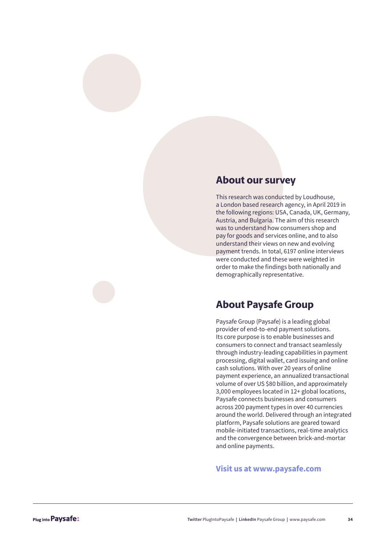#### **About our survey**

This research was conducted by Loudhouse, a London based research agency, in April 2019 in the following regions: USA, Canada, UK, Germany, Austria, and Bulgaria. The aim of this research was to understand how consumers shop and pay for goods and services online, and to also understand their views on new and evolving payment trends. In total, 6197 online interviews were conducted and these were weighted in order to make the findings both nationally and demographically representative.

#### **About Paysafe Group**

Paysafe Group (Paysafe) is a leading global provider of end-to-end payment solutions. Its core purpose is to enable businesses and consumers to connect and transact seamlessly through industry-leading capabilities in payment processing, digital wallet, card issuing and online cash solutions. With over 20 years of online payment experience, an annualized transactional volume of over US \$80 billion, and approximately 3,000 employees located in 12+ global locations, Paysafe connects businesses and consumers across 200 payment types in over 40 currencies around the world. Delivered through an integrated platform, Paysafe solutions are geared toward mobile-initiated transactions, real-time analytics and the convergence between brick-and-mortar and online payments.

#### **Visit us at www.paysafe.com**